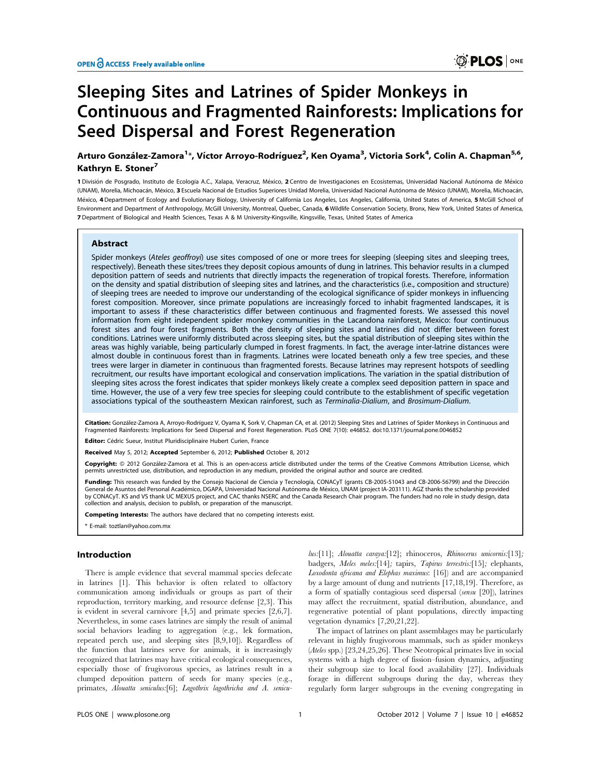# Sleeping Sites and Latrines of Spider Monkeys in Continuous and Fragmented Rainforests: Implications for Seed Dispersal and Forest Regeneration

Arturo González-Zamora<sup>1</sup>\*, Víctor Arroyo-Rodríguez<sup>2</sup>, Ken Oyama<sup>3</sup>, Victoria Sork<sup>4</sup>, Colin A. Chapman<sup>5,6</sup>, Kathryn E. Stoner<sup>7</sup>

1 División de Posgrado, Instituto de Ecología A.C., Xalapa, Veracruz, México, 2 Centro de Investigaciones en Ecosistemas, Universidad Nacional Autónoma de México (UNAM), Morelia, Michoacán, México, 3 Escuela Nacional de Estudios Superiores Unidad Morelia, Universidad Nacional Autónoma de México (UNAM), Morelia, Michoacán, México, 4Department of Ecology and Evolutionary Biology, University of California Los Angeles, Los Angeles, California, United States of America, 5 McGill School of Environment and Department of Anthropology, McGill University, Montreal, Quebec, Canada, 6 Wildlife Conservation Society, Bronx, New York, United States of America, 7 Department of Biological and Health Sciences, Texas A & M University-Kingsville, Kingsville, Texas, United States of America

# Abstract

Spider monkeys (Ateles geoffroyi) use sites composed of one or more trees for sleeping (sleeping sites and sleeping trees, respectively). Beneath these sites/trees they deposit copious amounts of dung in latrines. This behavior results in a clumped deposition pattern of seeds and nutrients that directly impacts the regeneration of tropical forests. Therefore, information on the density and spatial distribution of sleeping sites and latrines, and the characteristics (i.e., composition and structure) of sleeping trees are needed to improve our understanding of the ecological significance of spider monkeys in influencing forest composition. Moreover, since primate populations are increasingly forced to inhabit fragmented landscapes, it is important to assess if these characteristics differ between continuous and fragmented forests. We assessed this novel information from eight independent spider monkey communities in the Lacandona rainforest, Mexico: four continuous forest sites and four forest fragments. Both the density of sleeping sites and latrines did not differ between forest conditions. Latrines were uniformly distributed across sleeping sites, but the spatial distribution of sleeping sites within the areas was highly variable, being particularly clumped in forest fragments. In fact, the average inter-latrine distances were almost double in continuous forest than in fragments. Latrines were located beneath only a few tree species, and these trees were larger in diameter in continuous than fragmented forests. Because latrines may represent hotspots of seedling recruitment, our results have important ecological and conservation implications. The variation in the spatial distribution of sleeping sites across the forest indicates that spider monkeys likely create a complex seed deposition pattern in space and time. However, the use of a very few tree species for sleeping could contribute to the establishment of specific vegetation associations typical of the southeastern Mexican rainforest, such as Terminalia-Dialium, and Brosimum-Dialium.

Citation: González-Zamora A, Arroyo-Rodríguez V, Oyama K, Sork V, Chapman CA, et al. (2012) Sleeping Sites and Latrines of Spider Monkeys in Continuous and Fragmented Rainforests: Implications for Seed Dispersal and Forest Regeneration. PLoS ONE 7(10): e46852. doi:10.1371/journal.pone.0046852

Editor: Cédric Sueur, Institut Pluridisciplinaire Hubert Curien, France

Received May 5, 2012; Accepted September 6, 2012; Published October 8, 2012

Copyright: @ 2012 González-Zamora et al. This is an open-access article distributed under the terms of the Creative Commons Attribution License, which permits unrestricted use, distribution, and reproduction in any medium, provided the original author and source are credited.

Funding: This research was funded by the Consejo Nacional de Ciencia y Tecnología, CONACyT (grants CB-2005-51043 and CB-2006-56799) and the Dirección General de Asuntos del Personal Académico, DGAPA, Universidad Nacional Autónoma de México, UNAM (project IA-203111). AGZ thanks the scholarship provided by CONACyT. KS and VS thank UC MEXUS project, and CAC thanks NSERC and the Canada Research Chair program. The funders had no role in study design, data collection and analysis, decision to publish, or preparation of the manuscript.

Competing Interests: The authors have declared that no competing interests exist.

\* E-mail: toztlan@yahoo.com.mx

#### Introduction

There is ample evidence that several mammal species defecate in latrines [1]. This behavior is often related to olfactory communication among individuals or groups as part of their reproduction, territory marking, and resource defense [2,3]. This is evident in several carnivore [4,5] and primate species [2,6,7]. Nevertheless, in some cases latrines are simply the result of animal social behaviors leading to aggregation (e.g., lek formation, repeated perch use, and sleeping sites [8,9,10]). Regardless of the function that latrines serve for animals, it is increasingly recognized that latrines may have critical ecological consequences, especially those of frugivorous species, as latrines result in a clumped deposition pattern of seeds for many species (e.g., primates, Alouatta seniculus:[6]; Lagothrix lagothricha and A. seniculus:[11]; Alouatta caraya:[12]; rhinoceros, Rhinocerus unicornis:[13]; badgers, Meles meles:[14]; tapirs, Tapirus terrestris:[15]; elephants, Loxodonta africana and Elephas maximus: [16]) and are accompanied by a large amount of dung and nutrients [17,18,19]. Therefore, as a form of spatially contagious seed dispersal (sensu [20]), latrines may affect the recruitment, spatial distribution, abundance, and regenerative potential of plant populations, directly impacting vegetation dynamics [7,20,21,22].

The impact of latrines on plant assemblages may be particularly relevant in highly frugivorous mammals, such as spider monkeys (Ateles spp.) [23,24,25,26]. These Neotropical primates live in social systems with a high degree of fission–fusion dynamics, adjusting their subgroup size to local food availability [27]. Individuals forage in different subgroups during the day, whereas they regularly form larger subgroups in the evening congregating in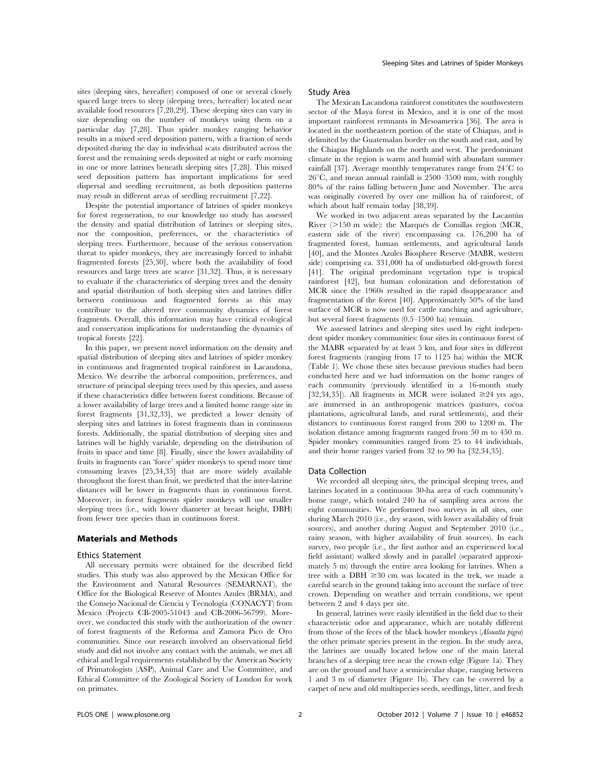sites (sleeping sites, hereafter) composed of one or several closely spaced large trees to sleep (sleeping trees, hereafter) located near available food resources [7,28,29]. These sleeping sites can vary in size depending on the number of monkeys using them on a particular day [7,28]. Thus spider monkey ranging behavior results in a mixed seed deposition pattern, with a fraction of seeds deposited during the day in individual scats distributed across the forest and the remaining seeds deposited at night or early morning in one or more latrines beneath sleeping sites [7,28]. This mixed seed deposition pattern has important implications for seed dispersal and seedling recruitment, as both deposition patterns may result in different areas of seedling recruitment [7,22].

Despite the potential importance of latrines of spider monkeys for forest regeneration, to our knowledge no study has assessed the density and spatial distribution of latrines or sleeping sites, nor the composition, preferences, or the characteristics of sleeping trees. Furthermore, because of the serious conservation threat to spider monkeys, they are increasingly forced to inhabit fragmented forests [25,30], where both the availability of food resources and large trees are scarce [31,32]. Thus, it is necessary to evaluate if the characteristics of sleeping trees and the density and spatial distribution of both sleeping sites and latrines differ between continuous and fragmented forests as this may contribute to the altered tree community dynamics of forest fragments. Overall, this information may have critical ecological and conservation implications for understanding the dynamics of tropical forests [22].

In this paper, we present novel information on the density and spatial distribution of sleeping sites and latrines of spider monkey in continuous and fragmented tropical rainforest in Lacandona, Mexico. We describe the arboreal composition, preferences, and structure of principal sleeping trees used by this species, and assess if these characteristics differ between forest conditions. Because of a lower availability of large trees and a limited home range size in forest fragments [31,32,33], we predicted a lower density of sleeping sites and latrines in forest fragments than in continuous forests. Additionally, the spatial distribution of sleeping sites and latrines will be highly variable, depending on the distribution of fruits in space and time [8]. Finally, since the lower availability of fruits in fragments can 'force' spider monkeys to spend more time consuming leaves [25,34,35] that are more widely available throughout the forest than fruit, we predicted that the inter-latrine distances will be lower in fragments than in continuous forest. Moreover, in forest fragments spider monkeys will use smaller sleeping trees (i.e., with lower diameter at breast height, DBH) from fewer tree species than in continuous forest.

#### Materials and Methods

#### Ethics Statement

All necessary permits were obtained for the described field studies. This study was also approved by the Mexican Office for the Environment and Natural Resources (SEMARNAT), the Office for the Biological Reserve of Montes Azules (BRMA), and the Consejo Nacional de Ciencia y Tecnología (CONACYT) from Mexico (Projects CB-2005-51043 and CB-2006-56799). Moreover, we conducted this study with the authorization of the owner of forest fragments of the Reforma and Zamora Pico de Oro communities. Since our research involved an observational field study and did not involve any contact with the animals, we met all ethical and legal requirements established by the American Society of Primatologists (ASP), Animal Care and Use Committee, and Ethical Committee of the Zoological Society of London for work on primates.

#### Study Area

The Mexican Lacandona rainforest constitutes the southwestern sector of the Maya forest in Mexico, and it is one of the most important rainforest remnants in Mesoamerica [36]. The area is located in the northeastern portion of the state of Chiapas, and is delimited by the Guatemalan border on the south and east, and by the Chiapas Highlands on the north and west. The predominant climate in the region is warm and humid with abundant summer rainfall [37]. Average monthly temperatures range from  $24^{\circ}$ C to  $26^{\circ}$ C, and mean annual rainfall is 2500-3500 mm, with roughly 80% of the rains falling between June and November. The area was originally covered by over one million ha of rainforest, of which about half remain today [38,39].

We worked in two adjacent areas separated by the Lacantún River (>150 m wide): the Marqués de Comillas region (MCR, eastern side of the river) encompassing ca. 176,200 ha of fragmented forest, human settlements, and agricultural lands [40], and the Montes Azules Biosphere Reserve (MABR, western side) comprising ca. 331,000 ha of undisturbed old-growth forest [41]. The original predominant vegetation type is tropical rainforest [42], but human colonization and deforestation of MCR since the 1960s resulted in the rapid disappearance and fragmentation of the forest [40]. Approximately 50% of the land surface of MCR is now used for cattle ranching and agriculture, but several forest fragments (0.5–1500 ha) remain.

We assessed latrines and sleeping sites used by eight independent spider monkey communities: four sites in continuous forest of the MABR separated by at least 5 km, and four sites in different forest fragments (ranging from 17 to 1125 ha) within the MCR (Table 1). We chose these sites because previous studies had been conducted here and we had information on the home ranges of each community (previously identified in a 16-month study [32,34,35]). All fragments in MCR were isolated  $\geq$ 24 yrs ago, are immersed in an anthropogenic matrices (pastures, cocoa plantations, agricultural lands, and rural settlements), and their distances to continuous forest ranged from 200 to 1200 m. The isolation distance among fragments ranged from 50 m to 450 m. Spider monkey communities ranged from 25 to 44 individuals, and their home ranges varied from 32 to 90 ha [32,34,35].

#### Data Collection

We recorded all sleeping sites, the principal sleeping trees, and latrines located in a continuous 30-ha area of each community's home range, which totaled 240 ha of sampling area across the eight communities. We performed two surveys in all sites, one during March 2010 (i.e., dry season, with lower availability of fruit sources), and another during August and September 2010 (i.e., rainy season, with higher availability of fruit sources). In each survey, two people (i.e., the first author and an experienced local field assistant) walked slowly and in parallel (separated approximately 5 m) through the entire area looking for latrines. When a tree with a DBH  $\geq 30$  cm was located in the trek, we made a careful search in the ground taking into account the surface of tree crown. Depending on weather and terrain conditions, we spent between 2 and 4 days per site.

In general, latrines were easily identified in the field due to their characteristic odor and appearance, which are notably different from those of the feces of the black howler monkeys (Alouatta pigra) the other primate species present in the region. In the study area, the latrines are usually located below one of the main lateral branches of a sleeping tree near the crown edge (Figure 1a). They are on the ground and have a semicircular shape, ranging between 1 and 3 m of diameter (Figure 1b). They can be covered by a carpet of new and old multispecies seeds, seedlings, litter, and fresh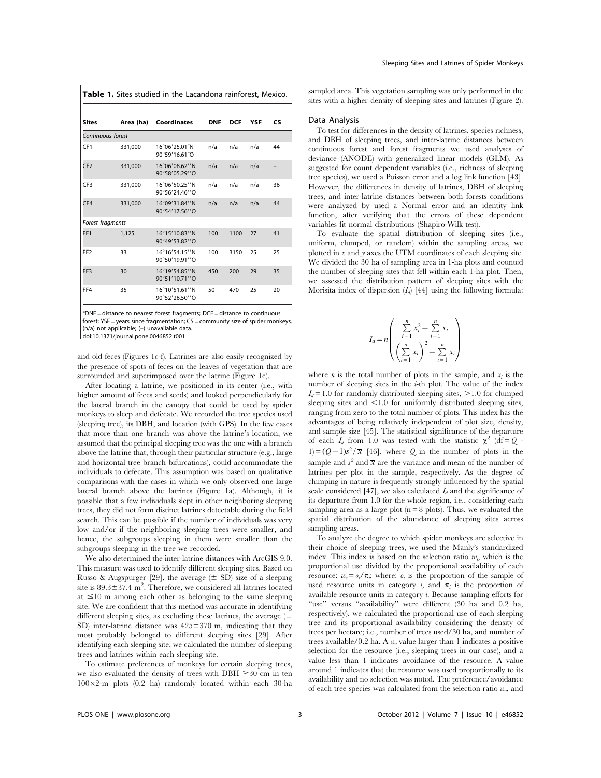|  |  | Table 1. Sites studied in the Lacandona rainforest, Mexico. |  |  |
|--|--|-------------------------------------------------------------|--|--|
|--|--|-------------------------------------------------------------|--|--|

| <b>Sites</b>      | Area (ha) | <b>Coordinates</b>                        | <b>DNF</b> | <b>DCF</b> | <b>YSF</b> | CS |
|-------------------|-----------|-------------------------------------------|------------|------------|------------|----|
| Continuous forest |           |                                           |            |            |            |    |
| CF1               | 331,000   | 16°06'25.01"N<br>90°59'16.61"O            | n/a        | n/a        | n/a        | 44 |
| CF <sub>2</sub>   | 331,000   | 16°06'08.62''N<br>90°58'05.29''O          | n/a        | n/a        | n/a        |    |
| CF <sub>3</sub>   | 331,000   | 16°06'50.25''N<br>90°56'24.46''O          | n/a        | n/a        | n/a        | 36 |
| CF4               | 331,000   | 16°09'31.84''N<br>90°54'17.56''O          | n/a        | n/a        | n/a        | 44 |
| Forest fragments  |           |                                           |            |            |            |    |
| FF <sub>1</sub>   | 1,125     | $16^{\circ}15'10.83''$ N<br>90°49'53.82"O | 100        | 1100       | 27         | 41 |
| FF <sub>2</sub>   | 33        | 16°16'54.15''N<br>90°50'19.91''O          | 100        | 3150       | 25         | 25 |
| FF3               | 30        | 16°19'54.85''N<br>90°51'10.71"O           | 450        | 200        | 29         | 35 |
| FF4               | 35        | 16°10'51.61''N<br>90°52'26.50''O          | 50         | 470        | 25         | 20 |

<sup>a</sup>DNF = distance to nearest forest fragments; DCF = distance to continuous forest; YSF = years since fragmentation; CS = community size of spider monkeys. (n/a) not applicable; (–) unavailable data.

doi:10.1371/journal.pone.0046852.t001

and old feces (Figures 1c-f). Latrines are also easily recognized by the presence of spots of feces on the leaves of vegetation that are surrounded and superimposed over the latrine (Figure 1e).

After locating a latrine, we positioned in its center (i.e., with higher amount of feces and seeds) and looked perpendicularly for the lateral branch in the canopy that could be used by spider monkeys to sleep and defecate. We recorded the tree species used (sleeping tree), its DBH, and location (with GPS). In the few cases that more than one branch was above the latrine's location, we assumed that the principal sleeping tree was the one with a branch above the latrine that, through their particular structure (e.g., large and horizontal tree branch bifurcations), could accommodate the individuals to defecate. This assumption was based on qualitative comparisons with the cases in which we only observed one large lateral branch above the latrines (Figure 1a). Although, it is possible that a few individuals slept in other neighboring sleeping trees, they did not form distinct latrines detectable during the field search. This can be possible if the number of individuals was very low and/or if the neighboring sleeping trees were smaller, and hence, the subgroups sleeping in them were smaller than the subgroups sleeping in the tree we recorded.

We also determined the inter-latrine distances with ArcGIS 9.0. This measure was used to identify different sleeping sites. Based on Russo & Augspurger [29], the average  $(\pm SD)$  size of a sleeping site is  $89.3 \pm 37.4$  m<sup>2</sup>. Therefore, we considered all latrines located at  $\leq 10$  m among each other as belonging to the same sleeping site. We are confident that this method was accurate in identifying different sleeping sites, as excluding these latrines, the average  $(±$ SD) inter-latrine distance was  $425 \pm 370$  m, indicating that they most probably belonged to different sleeping sites [29]. After identifying each sleeping site, we calculated the number of sleeping trees and latrines within each sleeping site.

To estimate preferences of monkeys for certain sleeping trees, we also evaluated the density of trees with  $DBH \geq 30$  cm in ten  $100\times2$ -m plots (0.2 ha) randomly located within each 30-ha sampled area. This vegetation sampling was only performed in the sites with a higher density of sleeping sites and latrines (Figure 2).

## Data Analysis

To test for differences in the density of latrines, species richness, and DBH of sleeping trees, and inter-latrine distances between continuous forest and forest fragments we used analyses of deviance (ANODE) with generalized linear models (GLM). As suggested for count dependent variables (i.e., richness of sleeping tree species), we used a Poisson error and a log link function [43]. However, the differences in density of latrines, DBH of sleeping trees, and inter-latrine distances between both forests conditions were analyzed by used a Normal error and an identity link function, after verifying that the errors of these dependent variables fit normal distributions (Shapiro-Wilk test).

To evaluate the spatial distribution of sleeping sites (i.e., uniform, clumped, or random) within the sampling areas, we plotted in  $x$  and  $y$  axes the UTM coordinates of each sleeping site. We divided the 30 ha of sampling area in 1-ha plots and counted the number of sleeping sites that fell within each 1-ha plot. Then, we assessed the distribution pattern of sleeping sites with the Morisita index of dispersion  $(I_d)$  [44] using the following formula:

$$
I_d = n \left( \frac{\sum_{i=1}^{n} x_i^2 - \sum_{i=1}^{n} x_i}{\left(\frac{n}{\sum_{i=1}^{n} x_i}\right)^2 - \sum_{i=1}^{n} x_i} \right)
$$

where *n* is the total number of plots in the sample, and  $x_i$  is the number of sleeping sites in the  $i$ -th plot. The value of the index  $I_d$  = 1.0 for randomly distributed sleeping sites,  $>$  1.0 for clumped sleeping sites and  $\leq 1.0$  for uniformly distributed sleeping sites, ranging from zero to the total number of plots. This index has the advantages of being relatively independent of plot size, density, and sample size [45]. The statistical significance of the departure of each  $I_d$  from 1.0 was tested with the statistic  $\chi^2$  (df = Q -1) =  $(Q-1)s^2/\overline{x}$  [46], where Q in the number of plots in the sample and  $s^2$  and  $\overline{x}$  are the variance and mean of the number of latrines per plot in the sample, respectively. As the degree of clumping in nature is frequently strongly influenced by the spatial scale considered [47], we also calculated  $I_d$  and the significance of its departure from 1.0 for the whole region, i.e., considering each sampling area as a large plot  $(n = 8$  plots). Thus, we evaluated the spatial distribution of the abundance of sleeping sites across sampling areas.

To analyze the degree to which spider monkeys are selective in their choice of sleeping trees, we used the Manly's standardized index. This index is based on the selection ratio  $w_i$ , which is the proportional use divided by the proportional availability of each resource:  $w_i = o_i / \pi_i$ ; where:  $o_i$  is the proportion of the sample of used resource units in category i, and  $\pi_i$  is the proportion of available resource units in category i. Because sampling efforts for "use" versus "availability" were different (30 ha and 0.2 ha, respectively), we calculated the proportional use of each sleeping tree and its proportional availability considering the density of trees per hectare; i.e., number of trees used/30 ha, and number of trees available/0.2 ha. A  $w_i$  value larger than 1 indicates a positive selection for the resource (i.e., sleeping trees in our case), and a value less than 1 indicates avoidance of the resource. A value around 1 indicates that the resource was used proportionally to its availability and no selection was noted. The preference/avoidance of each tree species was calculated from the selection ratio  $w_i$ , and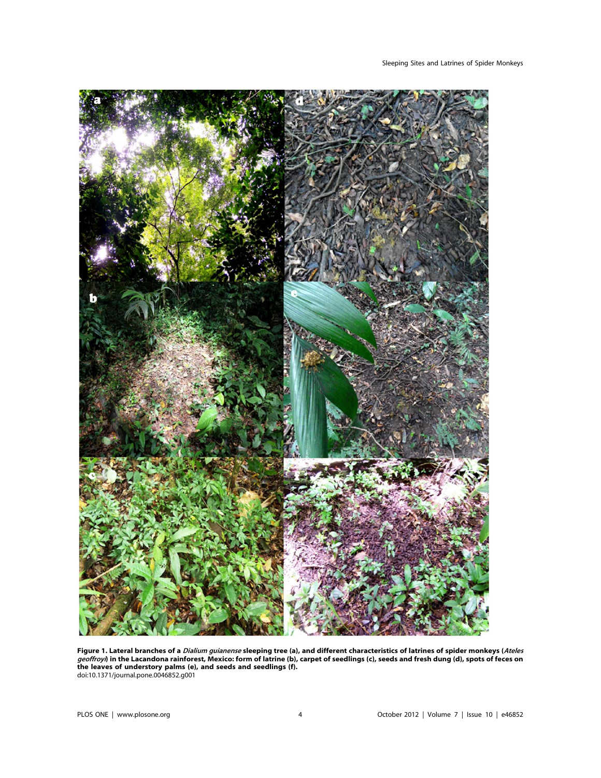

Figure 1. Lateral branches of a *Dialium guianense* sleeping tree (a), and different characteristics of latrines of spider monkeys (*Ateles* geoffroyi) in the Lacandona rainforest, Mexico: form of latrine (b), carpet of seedlings (c), seeds and fresh dung (d), spots of feces on the leaves of understory palms (e), and seeds and seedlings (f). doi:10.1371/journal.pone.0046852.g001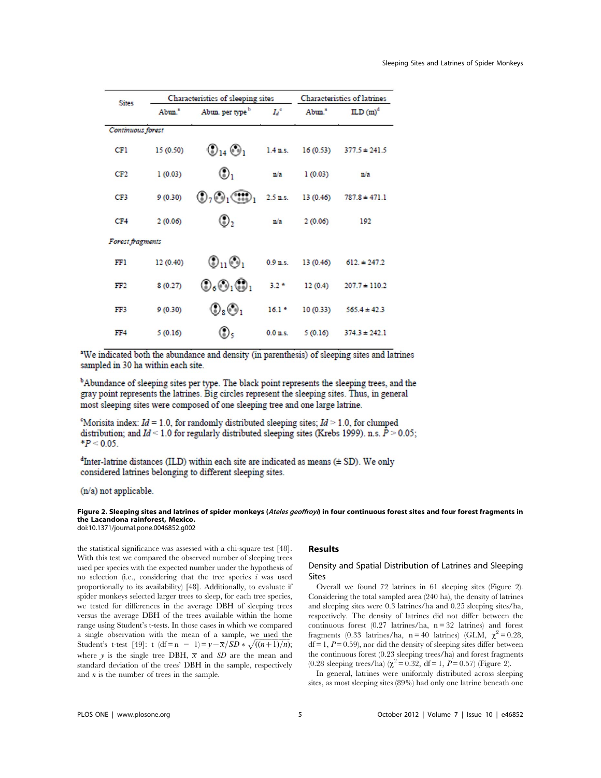| <b>Sites</b>      |           | Characteristics of sleeping sites       | Characteristics of latrines |                     |                                      |  |  |
|-------------------|-----------|-----------------------------------------|-----------------------------|---------------------|--------------------------------------|--|--|
|                   | Abun."    | Abun, per type $I_d$ <sup>c</sup>       |                             | Abun."              | ILD(m) <sup>d</sup>                  |  |  |
| Continuous forest |           |                                         |                             |                     |                                      |  |  |
| CF1               | 15 (0.50) | $\mathbb{O}_{14}$ $\mathbb{O}_{1}$      |                             | 1.4 n.s. $16(0.53)$ | $377.5 \pm 241.5$                    |  |  |
| CF2               | 1(0.03)   | $\circledS_1$                           | n/a                         | 1(0.03)             | n/a                                  |  |  |
| CF3               | 9(0.30)   | $\mathcal{O}_1\mathcal{O}_1$ (iii),     |                             |                     | 2.5 n.s. 13 (0.46) $787.8 \pm 471.1$ |  |  |
| CF4               | 2(0.06)   | $\textcircled{\scriptsize\textsf{1}}_2$ | n/a                         | 2(0.06)             | 192                                  |  |  |
| Forest fragments  |           |                                         |                             |                     |                                      |  |  |
| FF1               | 12(0.40)  | $\mathbb{O}_n \mathbb{O}_1$             | $0.9$ n.s.                  | 13(0.46)            | $612. \pm 247.2$                     |  |  |
| FF2               | 8(0.27)   | $\mathbb{O}_6\mathbb{O}_1\mathbb{O}_1$  | $3.2*$                      | 12(0.4)             | $207.7 \pm 110.2$                    |  |  |
| FF3               | 9(0.30)   | $\mathbb{O}_8\mathbb{O}_1$              | $16.1*$                     |                     | $10(0.33)$ $565.4 \pm 42.3$          |  |  |
| FF4               | 5(0.16)   | ⊛,                                      | $0.0$ n.s.                  | 5(0.16)             | $374.3 \pm 242.1$                    |  |  |

<sup>a</sup>We indicated both the abundance and density (in parenthesis) of sleeping sites and latrines sampled in 30 ha within each site.

<sup>b</sup>Abundance of sleeping sites per type. The black point represents the sleeping trees, and the gray point represents the latrines. Big circles represent the sleeping sites. Thus, in general most sleeping sites were composed of one sleeping tree and one large latrine.

Morisita index:  $Id = 1.0$ , for randomly distributed sleeping sites;  $Id \ge 1.0$ , for clumped distribution; and  $Id < 1.0$  for regularly distributed sleeping sites (Krebs 1999). n.s.  $P > 0.05$ ;  $*P < 0.05$ .

 $\text{d}$ Inter-latrine distances (ILD) within each site are indicated as means ( $\pm$  SD). We only considered latrines belonging to different sleeping sites.

(n/a) not applicable.

# Figure 2. Sleeping sites and latrines of spider monkeys (Ateles geoffroyi) in four continuous forest sites and four forest fragments in the Lacandona rainforest, Mexico.

doi:10.1371/journal.pone.0046852.g002

the statistical significance was assessed with a chi-square test [48]. With this test we compared the observed number of sleeping trees used per species with the expected number under the hypothesis of no selection (i.e., considering that the tree species  $i$  was used proportionally to its availability) [48]. Additionally, to evaluate if spider monkeys selected larger trees to sleep, for each tree species, we tested for differences in the average DBH of sleeping trees versus the average DBH of the trees available within the home range using Student's t-tests. In those cases in which we compared a single observation with the mean of a sample, we used the Student's t-test [49]: t  $(df = n - 1) = y - \overline{x}/s\overline{D} * \sqrt{((n+1)/n)};$ where y is the single tree DBH,  $\bar{x}$  and SD are the mean and standard deviation of the trees' DBH in the sample, respectively and  $n$  is the number of trees in the sample.

# Results

# Density and Spatial Distribution of Latrines and Sleeping Sites

Overall we found 72 latrines in 61 sleeping sites (Figure 2). Considering the total sampled area (240 ha), the density of latrines and sleeping sites were 0.3 latrines/ha and 0.25 sleeping sites/ha, respectively. The density of latrines did not differ between the continuous forest  $(0.27 \text{ latrines/ha}, n = 32 \text{ latrines})$  and forest fragments (0.33 latrines/ha, n = 40 latrines) (GLM,  $\chi^2$  = 0.28,  $df = 1, P = 0.59$ , nor did the density of sleeping sites differ between the continuous forest (0.23 sleeping trees/ha) and forest fragments (0.28 sleeping trees/ha)  $\chi^2 = 0.32$ , df = 1, P = 0.57) (Figure 2).

In general, latrines were uniformly distributed across sleeping sites, as most sleeping sites (89%) had only one latrine beneath one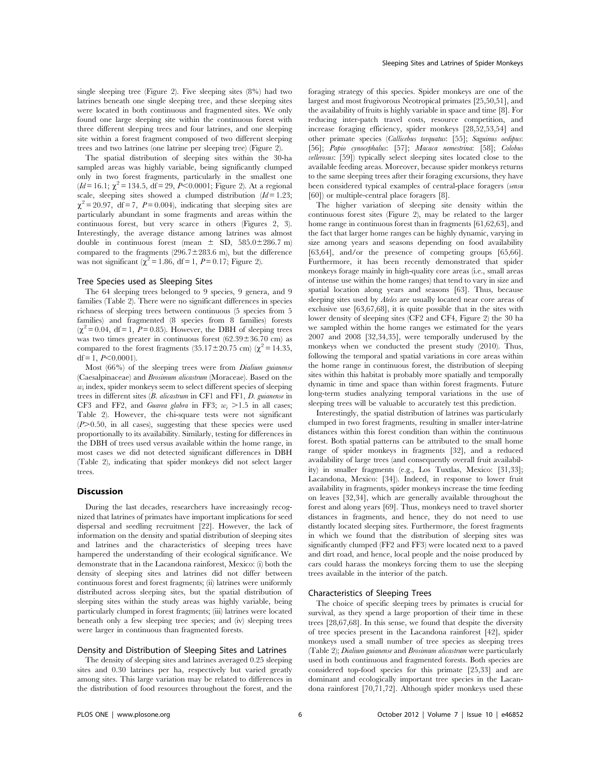single sleeping tree (Figure 2). Five sleeping sites (8%) had two latrines beneath one single sleeping tree, and these sleeping sites were located in both continuous and fragmented sites. We only found one large sleeping site within the continuous forest with three different sleeping trees and four latrines, and one sleeping site within a forest fragment composed of two different sleeping trees and two latrines (one latrine per sleeping tree) (Figure 2).

The spatial distribution of sleeping sites within the 30-ha sampled areas was highly variable, being significantly clumped only in two forest fragments, particularly in the smallest one  $(Id = 16.1; \gamma^2 = 134.5, df = 29, P < 0.0001; Figure 2)$ . At a regional scale, sleeping sites showed a clumped distribution  $(Id = 1.23;$  $\chi^2$  = 20.97, df = 7, P = 0.004), indicating that sleeping sites are particularly abundant in some fragments and areas within the continuous forest, but very scarce in others (Figures 2, 3). Interestingly, the average distance among latrines was almost double in continuous forest (mean  $\pm$  SD, 585.0 $\pm$ 286.7 m) compared to the fragments (296.7 $\pm$ 283.6 m), but the difference was not significant ( $\chi^2 = 1.86$ , df = 1, P = 0.17; Figure 2).

## Tree Species used as Sleeping Sites

The 64 sleeping trees belonged to 9 species, 9 genera, and 9 families (Table 2). There were no significant differences in species richness of sleeping trees between continuous (5 species from 5 families) and fragmented (8 species from 8 families) forests  $(\chi^2 = 0.04, df = 1, P = 0.85)$ . However, the DBH of sleeping trees was two times greater in continuous forest  $(62.39 \pm 36.70 \text{ cm})$  as compared to the forest fragments (35.17 $\pm$ 20.75 cm) ( $\chi^2$  = 14.35, df = 1,  $P<0.0001$ ).

Most (66%) of the sleeping trees were from Dialium guianense (Caesalpinaceae) and Brosimum alicastrum (Moraceae). Based on the  $w_i$  index, spider monkeys seem to select different species of sleeping trees in different sites (B. alicastrum in CF1 and FF1, D. guianense in CF3 and FF2, and Guarea glabra in FF3;  $w_i > 1.5$  in all cases; Table 2). However, the chi-square tests were not significant  $(P>0.50$ , in all cases), suggesting that these species were used proportionally to its availability. Similarly, testing for differences in the DBH of trees used versus available within the home range, in most cases we did not detected significant differences in DBH (Table 2), indicating that spider monkeys did not select larger trees.

#### **Discussion**

During the last decades, researchers have increasingly recognized that latrines of primates have important implications for seed dispersal and seedling recruitment [22]. However, the lack of information on the density and spatial distribution of sleeping sites and latrines and the characteristics of sleeping trees have hampered the understanding of their ecological significance. We demonstrate that in the Lacandona rainforest, Mexico: (i) both the density of sleeping sites and latrines did not differ between continuous forest and forest fragments; (ii) latrines were uniformly distributed across sleeping sites, but the spatial distribution of sleeping sites within the study areas was highly variable, being particularly clumped in forest fragments; (iii) latrines were located beneath only a few sleeping tree species; and (iv) sleeping trees were larger in continuous than fragmented forests.

#### Density and Distribution of Sleeping Sites and Latrines

The density of sleeping sites and latrines averaged 0.25 sleeping sites and 0.30 latrines per ha, respectively but varied greatly among sites. This large variation may be related to differences in the distribution of food resources throughout the forest, and the foraging strategy of this species. Spider monkeys are one of the largest and most frugivorous Neotropical primates [25,50,51], and the availability of fruits is highly variable in space and time [8]. For reducing inter-patch travel costs, resource competition, and increase foraging efficiency, spider monkeys [28,52,53,54] and other primate species (Callicebus torquatus: [55]; Saguinus oedipus: [56]; Papio cynocephalus: [57]; Macaca nemestrina: [58]; Colobus vellerosus: [59]) typically select sleeping sites located close to the available feeding areas. Moreover, because spider monkeys returns to the same sleeping trees after their foraging excursions, they have been considered typical examples of central-place foragers (sensu [60]) or multiple-central place foragers [8].

The higher variation of sleeping site density within the continuous forest sites (Figure 2), may be related to the larger home range in continuous forest than in fragments [61,62,63], and the fact that larger home ranges can be highly dynamic, varying in size among years and seasons depending on food availability [63,64], and/or the presence of competing groups [65,66]. Furthermore, it has been recently demonstrated that spider monkeys forage mainly in high-quality core areas (i.e., small areas of intense use within the home ranges) that tend to vary in size and spatial location along years and seasons [63]. Thus, because sleeping sites used by Ateles are usually located near core areas of exclusive use [63,67,68], it is quite possible that in the sites with lower density of sleeping sites (CF2 and CF4, Figure 2) the 30 ha we sampled within the home ranges we estimated for the years 2007 and 2008 [32,34,35], were temporally underused by the monkeys when we conducted the present study (2010). Thus, following the temporal and spatial variations in core areas within the home range in continuous forest, the distribution of sleeping sites within this habitat is probably more spatially and temporally dynamic in time and space than within forest fragments. Future long-term studies analyzing temporal variations in the use of sleeping trees will be valuable to accurately test this prediction.

Interestingly, the spatial distribution of latrines was particularly clumped in two forest fragments, resulting in smaller inter-latrine distances within this forest condition than within the continuous forest. Both spatial patterns can be attributed to the small home range of spider monkeys in fragments [32], and a reduced availability of large trees (and consequently overall fruit availability) in smaller fragments (e.g., Los Tuxtlas, Mexico: [31,33]; Lacandona, Mexico: [34]). Indeed, in response to lower fruit availability in fragments, spider monkeys increase the time feeding on leaves [32,34], which are generally available throughout the forest and along years [69]. Thus, monkeys need to travel shorter distances in fragments, and hence, they do not need to use distantly located sleeping sites. Furthermore, the forest fragments in which we found that the distribution of sleeping sites was significantly clumped (FF2 and FF3) were located next to a paved and dirt road, and hence, local people and the noise produced by cars could harass the monkeys forcing them to use the sleeping trees available in the interior of the patch.

# Characteristics of Sleeping Trees

The choice of specific sleeping trees by primates is crucial for survival, as they spend a large proportion of their time in these trees [28,67,68]. In this sense, we found that despite the diversity of tree species present in the Lacandona rainforest [42], spider monkeys used a small number of tree species as sleeping trees (Table 2); *Dialium guianense* and *Brosimum alicastrum* were particularly used in both continuous and fragmented forests. Both species are considered top-food species for this primate [25,33] and are dominant and ecologically important tree species in the Lacandona rainforest [70,71,72]. Although spider monkeys used these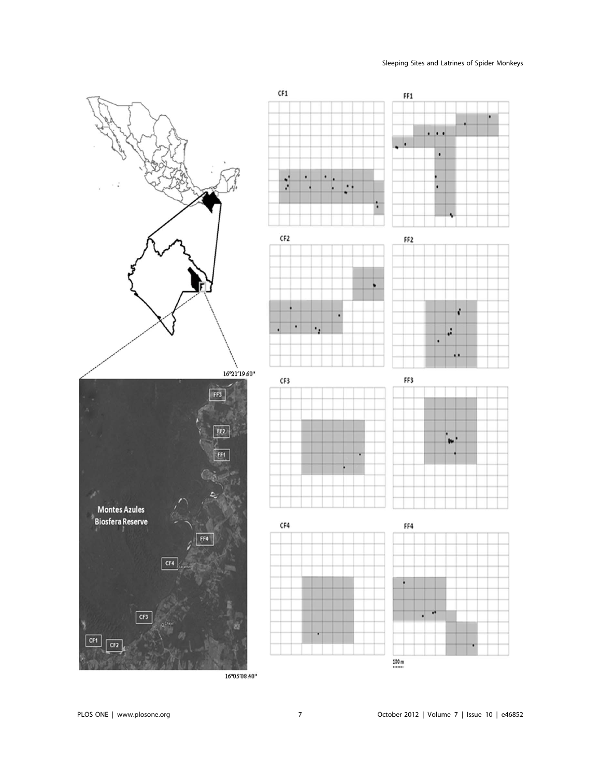

1690508.40"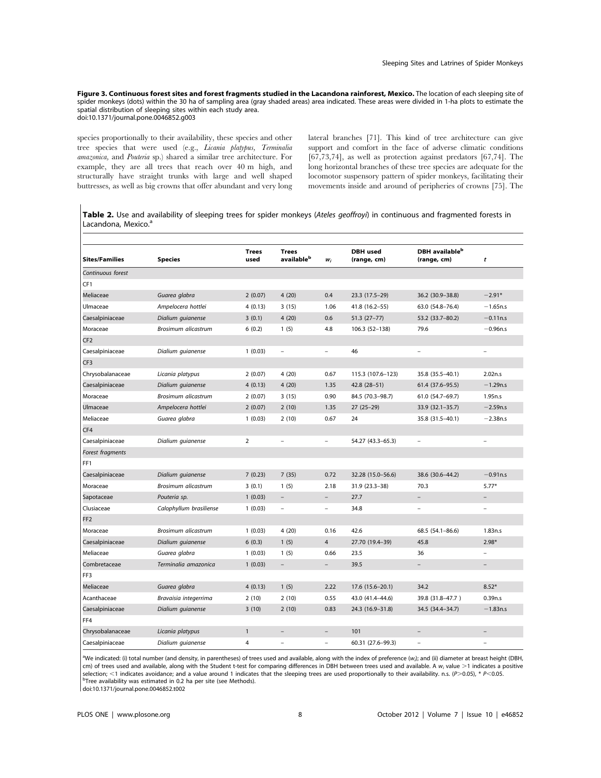Figure 3. Continuous forest sites and forest fragments studied in the Lacandona rainforest, Mexico. The location of each sleeping site of spider monkeys (dots) within the 30 ha of sampling area (gray shaded areas) area indicated. These areas were divided in 1-ha plots to estimate the spatial distribution of sleeping sites within each study area. doi:10.1371/journal.pone.0046852.g003

species proportionally to their availability, these species and other tree species that were used (e.g., Licania platypus, Terminalia amazonica, and Pouteria sp.) shared a similar tree architecture. For example, they are all trees that reach over 40 m high, and structurally have straight trunks with large and well shaped buttresses, as well as big crowns that offer abundant and very long lateral branches [71]. This kind of tree architecture can give support and comfort in the face of adverse climatic conditions [67,73,74], as well as protection against predators [67,74]. The long horizontal branches of these tree species are adequate for the locomotor suspensory pattern of spider monkeys, facilitating their movements inside and around of peripheries of crowns [75]. The

Table 2. Use and availability of sleeping trees for spider monkeys (Ateles geoffroyi) in continuous and fragmented forests in Lacandona, Mexico.<sup>a</sup>

| <b>Sites/Families</b> | <b>Species</b>          | <b>Trees</b><br>used | <b>Trees</b><br>available <sup>b</sup> | $W_i$                    | <b>DBH</b> used<br>(range, cm) | DBH available <sup>b</sup><br>(range, cm) | t                        |
|-----------------------|-------------------------|----------------------|----------------------------------------|--------------------------|--------------------------------|-------------------------------------------|--------------------------|
| Continuous forest     |                         |                      |                                        |                          |                                |                                           |                          |
| CF1                   |                         |                      |                                        |                          |                                |                                           |                          |
| Meliaceae             | Guarea glabra           | 2(0.07)              | 4(20)                                  | 0.4                      | 23.3 (17.5-29)                 | 36.2 (30.9-38.8)                          | $-2.91*$                 |
| Ulmaceae              | Ampelocera hottlei      | 4(0.13)              | 3(15)                                  | 1.06                     | 41.8 (16.2-55)                 | 63.0 (54.8-76.4)                          | $-1.65n.s$               |
| Caesalpiniaceae       | Dialium guianense       | 3(0.1)               | 4(20)                                  | 0.6                      | $51.3(27-77)$                  | 53.2 (33.7-80.2)                          | $-0.11n.s$               |
| Moraceae              | Brosimum alicastrum     | 6(0.2)               | 1(5)                                   | 4.8                      | 106.3 (52-138)                 | 79.6                                      | $-0.96n.s$               |
| CF <sub>2</sub>       |                         |                      |                                        |                          |                                |                                           |                          |
| Caesalpiniaceae       | Dialium guianense       | 1(0.03)              | $\overline{\phantom{0}}$               | $\overline{a}$           | 46                             | $\overline{\phantom{a}}$                  | $\qquad \qquad -$        |
| CF <sub>3</sub>       |                         |                      |                                        |                          |                                |                                           |                          |
| Chrysobalanaceae      | Licania platypus        | 2(0.07)              | 4(20)                                  | 0.67                     | 115.3 (107.6-123)              | 35.8 (35.5-40.1)                          | 2.02n.s                  |
| Caesalpiniaceae       | Dialium guianense       | 4(0.13)              | 4(20)                                  | 1.35                     | 42.8 (28-51)                   | 61.4 (37.6-95.5)                          | $-1.29n.s$               |
| Moraceae              | Brosimum alicastrum     | 2(0.07)              | 3(15)                                  | 0.90                     | 84.5 (70.3-98.7)               | 61.0 (54.7-69.7)                          | 1.95n.s                  |
| Ulmaceae              | Ampelocera hottlei      | 2(0.07)              | 2(10)                                  | 1.35                     | $27(25-29)$                    | 33.9 (32.1-35.7)                          | $-2.59n.s$               |
| Meliaceae             | Guarea glabra           | 1(0.03)              | 2(10)                                  | 0.67                     | 24                             | 35.8 (31.5-40.1)                          | $-2.38n.s$               |
| CF4                   |                         |                      |                                        |                          |                                |                                           |                          |
| Caesalpiniaceae       | Dialium guianense       | $\overline{2}$       | L,                                     | L,                       | 54.27 (43.3-65.3)              | $\equiv$                                  |                          |
| Forest fragments      |                         |                      |                                        |                          |                                |                                           |                          |
| FF1                   |                         |                      |                                        |                          |                                |                                           |                          |
| Caesalpiniaceae       | Dialium guianense       | 7(0.23)              | 7(35)                                  | 0.72                     | 32.28 (15.0-56.6)              | 38.6 (30.6-44.2)                          | $-0.91n.s$               |
| Moraceae              | Brosimum alicastrum     | 3(0.1)               | 1(5)                                   | 2.18                     | 31.9 (23.3-38)                 | 70.3                                      | $5.77*$                  |
| Sapotaceae            | Pouteria sp.            | 1(0.03)              | $\overline{\phantom{a}}$               | $\overline{\phantom{a}}$ | 27.7                           | $\overline{\phantom{a}}$                  | $\overline{\phantom{a}}$ |
| Clusiaceae            | Calophyllum brasiliense | 1(0.03)              | $\overline{\phantom{a}}$               | ÷,                       | 34.8                           | $\overline{\phantom{a}}$                  | $\overline{\phantom{0}}$ |
| FF <sub>2</sub>       |                         |                      |                                        |                          |                                |                                           |                          |
| Moraceae              | Brosimum alicastrum     | 1(0.03)              | 4(20)                                  | 0.16                     | 42.6                           | 68.5 (54.1-86.6)                          | 1.83n.s                  |
| Caesalpiniaceae       | Dialium guianense       | 6(0.3)               | 1(5)                                   | 4                        | 27.70 (19.4-39)                | 45.8                                      | $2.98*$                  |
| Meliaceae             | Guarea glabra           | 1(0.03)              | 1(5)                                   | 0.66                     | 23.5                           | 36                                        |                          |
| Combretaceae          | Terminalia amazonica    | 1(0.03)              | $\overline{\phantom{a}}$               | $\overline{\phantom{0}}$ | 39.5                           | $\overline{\phantom{a}}$                  | $\overline{\phantom{a}}$ |
| FF3                   |                         |                      |                                        |                          |                                |                                           |                          |
| Meliaceae             | Guarea glabra           | 4(0.13)              | 1(5)                                   | 2.22                     | 17.6 (15.6-20.1)               | 34.2                                      | $8.52*$                  |
| Acanthaceae           | Bravaisia integerrima   | 2(10)                | 2(10)                                  | 0.55                     | 43.0 (41.4-44.6)               | 39.8 (31.8-47.7)                          | 0.39n.s                  |
| Caesalpiniaceae       | Dialium guianense       | 3(10)                | 2(10)                                  | 0.83                     | 24.3 (16.9-31.8)               | 34.5 (34.4-34.7)                          | $-1.83n.s$               |
| FF4                   |                         |                      |                                        |                          |                                |                                           |                          |
| Chrysobalanaceae      | Licania platypus        | $\mathbf{1}$         |                                        |                          | 101                            |                                           |                          |
| Caesalpiniaceae       | Dialium guianense       | 4                    |                                        | $\overline{\phantom{0}}$ | 60.31 (27.6-99.3)              |                                           |                          |

<sup>a</sup>We indicated: (i) total number (and density, in parentheses) of trees used and available, along with the index of preference (w<sub>i</sub>); and (ii) diameter at breast height (DBH, cm) of trees used and available, along with the Student t-test for comparing differences in DBH between trees used and available. A  $w_i$  value >1 indicates a positive selection; <1 indicates avoidance; and a value around 1 indicates that the sleeping trees are used proportionally to their availability. n.s.  $(P>0.05)$ , \*  $P<0.05$ . <sup>b</sup>Tree availability was estimated in 0.2 ha per site (see Methods).

doi:10.1371/journal.pone.0046852.t002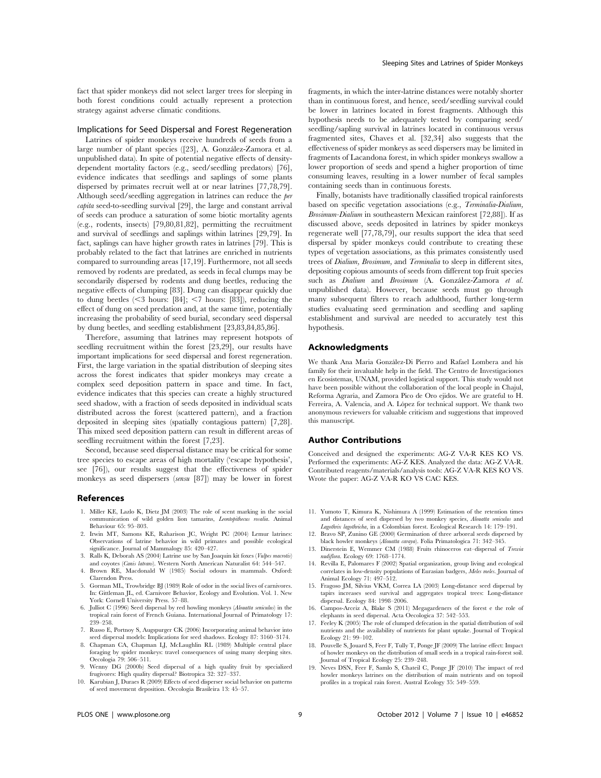fact that spider monkeys did not select larger trees for sleeping in both forest conditions could actually represent a protection strategy against adverse climatic conditions.

#### Implications for Seed Dispersal and Forest Regeneration

Latrines of spider monkeys receive hundreds of seeds from a large number of plant species ([23], A. González-Zamora et al. unpublished data). In spite of potential negative effects of densitydependent mortality factors (e.g., seed/seedling predators) [76], evidence indicates that seedlings and saplings of some plants dispersed by primates recruit well at or near latrines [77,78,79]. Although seed/seedling aggregation in latrines can reduce the per capita seed-to-seedling survival [29], the large and constant arrival of seeds can produce a saturation of some biotic mortality agents (e.g., rodents, insects) [79,80,81,82], permitting the recruitment and survival of seedlings and saplings within latrines [29,79]. In fact, saplings can have higher growth rates in latrines [79]. This is probably related to the fact that latrines are enriched in nutrients compared to surrounding areas [17,19]. Furthermore, not all seeds removed by rodents are predated, as seeds in fecal clumps may be secondarily dispersed by rodents and dung beetles, reducing the negative effects of clumping [83]. Dung can disappear quickly due to dung beetles  $\langle$  <3 hours:  $[84]$ ;  $\langle$ 7 hours:  $[83]$ ), reducing the effect of dung on seed predation and, at the same time, potentially increasing the probability of seed burial, secondary seed dispersal by dung beetles, and seedling establishment [23,83,84,85,86].

Therefore, assuming that latrines may represent hotspots of seedling recruitment within the forest [23,29], our results have important implications for seed dispersal and forest regeneration. First, the large variation in the spatial distribution of sleeping sites across the forest indicates that spider monkeys may create a complex seed deposition pattern in space and time. In fact, evidence indicates that this species can create a highly structured seed shadow, with a fraction of seeds deposited in individual scats distributed across the forest (scattered pattern), and a fraction deposited in sleeping sites (spatially contagious pattern) [7,28]. This mixed seed deposition pattern can result in different areas of seedling recruitment within the forest [7,23].

Second, because seed dispersal distance may be critical for some tree species to escape areas of high mortality ('escape hypothesis', see [76]), our results suggest that the effectiveness of spider monkeys as seed dispersers (sensu [87]) may be lower in forest

#### References

- 1. Miller KE, Lazlo K, Dietz JM (2003) The role of scent marking in the social communication of wild golden lion tamarins, Leontopithecus rosalia. Animal Behaviour 65: 95–803.
- 2. Irwin MT, Samons KE, Raharison JC, Wright PC (2004) Lemur latrines: Observations of latrine behavior in wild primates and possible ecological significance. Journal of Mammalogy 85: 420–427.
- 3. Ralls K, Deborah AS (2004) Latrine use by San Joaquin kit foxes (Vulpes macrotis) and coyotes (Canis latrans). Western North American Naturalist 64: 544–547.
- 4. Brown RE, Macdonald W (1985) Social odours in mammals. Oxford: Clarendon Press.
- 5. Gorman ML, Trowbridge BJ (1989) Role of odor in the social lives of carnivores. In: Gittleman JL, ed. Carnivore Behavior, Ecology and Evolution. Vol. 1. New York: Cornell University Press. 57–88.
- 6. Julliot C (1996) Seed dispersal by red howling monkeys (Alouatta seniculus) in the tropical rain forest of French Guiana. International Journal of Primatology 17: 239–258.
- 7. Russo E, Portnoy S, Augspurger CK (2006) Incorporating animal behavior into seed dispersal models: Implications for seed shadows. Ecology 87: 3160–3174.
- 8. Chapman CA, Chapman LJ, McLaughlin RL (1989) Multiple central place foraging by spider monkeys: travel consequences of using many sleeping sites. Oecologia 79: 506–511.
- 9. Wenny DG (2000b) Seed dispersal of a high quality fruit by specialized frugivores: High quality dispersal? Biotropica 32: 327–337.
- 10. Karubian J, Duraes R (2009) Effects of seed disperser social behavior on patterns of seed movement deposition. Oecologia Brasileira 13: 45–57.

fragments, in which the inter-latrine distances were notably shorter than in continuous forest, and hence, seed/seedling survival could be lower in latrines located in forest fragments. Although this hypothesis needs to be adequately tested by comparing seed/ seedling/sapling survival in latrines located in continuous versus fragmented sites, Chaves et al. [32,34] also suggests that the effectiveness of spider monkeys as seed dispersers may be limited in fragments of Lacandona forest, in which spider monkeys swallow a lower proportion of seeds and spend a higher proportion of time consuming leaves, resulting in a lower number of fecal samples containing seeds than in continuous forests.

Finally, botanists have traditionally classified tropical rainforests based on specific vegetation associations (e.g., Terminalia-Dialium, Brosimum-Dialium in southeastern Mexican rainforest [72,88]). If as discussed above, seeds deposited in latrines by spider monkeys regenerate well [77,78,79], our results support the idea that seed dispersal by spider monkeys could contribute to creating these types of vegetation associations, as this primates consistently used trees of Dialium, Brosimum, and Terminalia to sleep in different sites, depositing copious amounts of seeds from different top fruit species such as Dialium and Brosimum (A. González-Zamora et al. unpublished data). However, because seeds must go through many subsequent filters to reach adulthood, further long-term studies evaluating seed germination and seedling and sapling establishment and survival are needed to accurately test this hypothesis.

#### Acknowledgments

We thank Ana Maria González-Di Pierro and Rafael Lombera and his family for their invaluable help in the field. The Centro de Investigaciones en Ecosistemas, UNAM, provided logistical support. This study would not have been possible without the collaboration of the local people in Chajul. Reforma Agraria, and Zamora Pico de Oro ejidos. We are grateful to H. Ferreira, A. Valencia, and A. López for technical support. We thank two anonymous reviewers for valuable criticism and suggestions that improved this manuscript.

## Author Contributions

Conceived and designed the experiments: AG-Z VA-R KES KO VS. Performed the experiments: AG-Z KES. Analyzed the data: AG-Z VA-R. Contributed reagents/materials/analysis tools: AG-Z VA-R KES KO VS. Wrote the paper: AG-Z VA-R KO VS CAC KES.

- 11. Yumoto T, Kimura K, Nishimura A (1999) Estimation of the retention times and distances of seed dispersed by two monkey species, Alouatta seniculus and Lagothrix lagothricha, in a Colombian forest. Ecological Research 14: 179–191.
- 12. Bravo SP, Zunino GE (2000) Germination of three arboreal seeds dispersed by black howler monkeys (Alouatta caraya). Folia Primatologica 71: 342–345.
- 13. Dinerstein E, Wemmer CM (1988) Fruits rhinoceros eat–dispersal of Trewia nudiflora. Ecology 69: 1768–1774.
- 14. Revilla E, Palomares F (2002) Spatial organization, group living and ecological correlates in low-density populations of Eurasian badgers, Meles meles. Journal of Animal Ecology 71: 497–512.
- 15. Fragoso JM, Silvius VKM, Correa LA (2003) Long-distance seed dispersal by tapirs increases seed survival and aggregates tropical trees: Long-distance dispersal. Ecology 84: 1998–2006.
- 16. Campos-Arceiz A, Blake S (2011) Megagardeners of the forest e the role of elephants in seed dispersal. Acta Oecologica 37: 542–553.
- 17. Feeley K (2005) The role of clumped defecation in the spatial distribution of soil nutrients and the availability of nutrients for plant uptake. Journal of Tropical Ecology 21: 99–102.
- 18. Pouvelle S, Jouard S, Feer F, Tully T, Ponge JF (2009) The latrine effect: Impact of howler monkeys on the distribution of small seeds in a tropical rain-forest soil. Journal of Tropical Ecology 25: 239–248.
- 19. Neves DSN, Feer F, Samlo S, Chateil C, Ponge JF (2010) The impact of red howler monkeys latrines on the distribution of main nutrients and on topsoil profiles in a tropical rain forest. Austral Ecology 35: 549–559.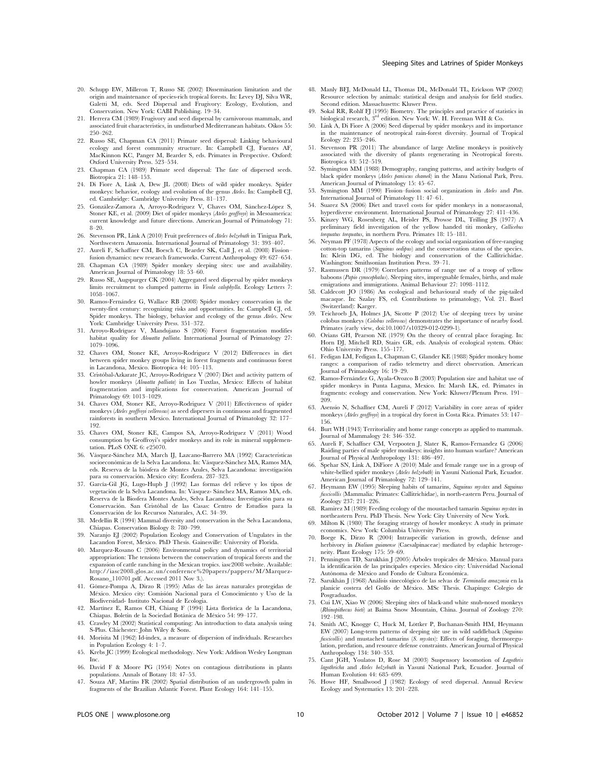#### Sleeping Sites and Latrines of Spider Monkeys

- 20. Schupp EW, Milleron T, Russo SE (2002) Dissemination limitation and the origin and maintenance of species-rich tropical forests. In: Levey DJ, Silva WR, Galetti M, eds. Seed Dispersal and Frugivory: Ecology, Evolution, and Conservation. New York: CABI Publishing. 19–34.
- 21. Herrera CM (1989) Frugivory and seed dispersal by carnivorous mammals, and associated fruit characteristics, in undisturbed Mediterranean habitats. Oikos 55: 250–262.
- 22. Russo SE, Chapman CA (2011) Primate seed dispersal: Linking behavioural ecology and forest community structure. In: Campbell CJ, Fuentes AF, MacKinnon KC, Panger M, Bearder S, eds. Primates in Perspective. Oxford: Oxford University Press. 523–534.
- 23. Chapman CA (1989) Primate seed dispersal: The fate of dispersed seeds. Biotropica 21: 148–153.
- 24. Di Fiore A, Link A, Dew JL (2008) Diets of wild spider monkeys. Spider monkeys: behavior, ecology and evolution of the genus Ateles. In: Campbell CJ, ed. Cambridge: Cambridge University Press. 81–137.
- 25. González-Zamora A, Arroyo-Rodríguez V, Chaves OM, Sánchez-López S, Stoner KE, et al. (2009) Diet of spider monkeys (Ateles geoffroyi) in Mesoamerica: current knowledge and future directions. American Journal of Primatology 71: 8–20.
- 26. Stevenson PR, Link A (2010) Fruit preferences of Ateles belzebuth in Tinigua Park, Northwestern Amazonia. International Journal of Primatology 31: 393–407.
- 27. Aureli F, Schaffner CM, Boesch C, Bearder SK, Call J, et al. (2008) Fission– fusion dynamics: new research frameworks. Current Anthropology 49: 627–654.
- 28. Chapman CA (1989) Spider monkey sleeping sites: use and availability. American Journal of Primatology 18: 53–60.
- 29. Russo SE, Augspurger CK (2004) Aggregated seed dispersal by spider monkeys limits recruitment to clumped patterns in Virola calophylla. Ecology Letters 7: 1058–1067.
- 30. Ramos-Ferna´ndez G, Wallace RB (2008) Spider monkey conservation in the twenty-first century: recognizing risks and opportunities. In: Campbell CJ, ed. Spider monkeys. The biology, behavior and ecology of the genus Ateles. New York: Cambridge University Press. 351–372.
- 31. Arroyo-Rodríguez V, Mandujano S (2006) Forest fragmentation modifies habitat quality for Alouatta palliata. International Journal of Primatology 27: 1079–1096.
- 32. Chaves OM, Stoner KE, Arroyo-Rodríguez V (2012) Differences in diet between spider monkey groups living in forest fragments and continuous forest in Lacandona, Mexico. Biotropica 44: 105–113.
- 33. Cristóbal-Azkarate JC, Arroyo-Rodríguez V (2007) Diet and activity pattern of howler monkeys (Alouatta palliata) in Los Tuxtlas, Mexico: Effects of habitat fragmentation and implications for conservation. American Journal of Primatology 69: 1013–1029.
- 34. Chaves OM, Stoner KE, Arroyo-Rodriguez V (2011) Effectiveness of spider monkeys (Ateles geoffroyi vellerosus) as seed dispersers in continuous and fragmented rainforests in southern Mexico. International Journal of Primatology 32: 177– 192.
- 35. Chaves OM, Stoner KE, Campos SA, Arroyo-Rodríguez V (2011) Wood consumption by Geoffroyi's spider monkeys and its role in mineral supplementation. PLoS ONE 6: e25070.
- 36. Vásquez-Sánchez MA, March IJ, Lazcano-Barrero MA (1992) Características socioeconómicas de la Selva Lacandona. In: Vásquez-Sánchez MA, Ramos MA, eds. Reserva de la biósfera de Montes Azules, Selva Lacandona: investigación para su conservación. Mexico city: Ecosfera. 287-323.
- 37. Garcı´a-Gil JG, Lugo-Hupb J (1992) Las formas del relieve y los tipos de vegetación de la Selva Lacandona. In: Vásquez- Sánchez MA, Ramos MA, eds. Reserva de la Biosfera Montes Azules, Selva Lacandona: Investigación para su Conservacio´n. San Cristo´bal de las Casas: Centro de Estudios para la Conservacio´n de los Recursos Naturales, A.C. 34–39.
- 38. Medellin R (1994) Mammal diversity and conservation in the Selva Lacandona, Chiapas. Conservation Biology 8: 780–799.
- 39. Naranjo EJ (2002) Population Ecology and Conservation of Ungulates in the Lacandon Forest, Mexico. PhD Thesis. Gainesville: University of Florida.
- 40. Marquez-Rosano C (2006) Environmental policy and dynamics of territorial appropriation: The tensions between the conservation of tropical forests and the expansion of cattle ranching in the Mexican tropics. iasc2008 website. Available: http://iasc2008.glos.ac.un/conference%20papers/pappers/M/Marquez-Rosano\_110701.pdf. Accessed 2011 Nov 3.).
- 41. Gómez-Pompa A, Dirzo R (1995) Atlas de las áreas naturales protegidas de México. Mexico city: Comisión Nacional para el Conocimiento y Uso de la Biodiversidad- Instituto Nacional de Ecología.
- 42. Martı´nez E, Ramos CH, Chiang F (1994) Lista florı´stica de la Lacandona, Chiapas. Boletin de la Sociedad Botánica de México 54: 99–177.
- 43. Crawley M (2002) Statistical computing: An introduction to data analysis using S-Plus. Chichester: John Wiley & Sons.
- 44. Morisita M (1962) Id-index, a measure of dispersion of individuals. Researches in Population Ecology 4: 1–7.
- 45. Krebs JC (1999) Ecological methodology. New York: Addison Wesley Longman Inc.
- 46. David F & Moore PG (1954) Notes on contagious distributions in plants populations. Annals of Botany 18: 47–53.
- 47. Souza AF, Martins FR (2002) Spatial distribution of an undergrowth palm in fragments of the Brazilian Atlantic Forest. Plant Ecology 164: 141–155.
- 48. Manly BFJ, McDonald LL, Thomas DL, McDonald TL, Erickson WP (2002) Resource selection by animals: statistical design and analysis for field studies. Second edition. Massachusetts: Kluwer Press.
- 49. Sokal RR, Rohlf FJ (1995) Biometry. The principles and practice of statistics in biological research,  $3^{\text{rd}}$  edition. New York: W. H. Freeman WH & Co.
- 50. Link A, Di Fiore A (2006) Seed dispersal by spider monkeys and its importance in the maintenance of neotropical rain-forest diversity. Journal of Tropical Ecology 22: 235–246.
- 51. Stevenson PR (2011) The abundance of large Ateline monkeys is positively associated with the diversity of plants regenerating in Neotropical forests. Biotropica 43: 512–519.
- 52. Symington MM (1988) Demography, ranging patterns, and activity budgets of black spider monkeys (Ateles paniscus chamek) in the Manu National Park, Peru. American Journal of Primatology 15: 45–67.
- 53. Symington MM (1990) Fission–fusion social organization in Ateles and Pan.<br>International Journal of Primatology 11: 47–61.
- 54. Suarez SA (2006) Diet and travel costs for spider monkeys in a nonseasonal, hyperdiverse environment. International Journal of Primatology 27: 411–436.
- 55. Kinzey WG, Rosenberg AL, Heisler PS, Prowse DL, Trilling JS (1977) A preliminary field investigation of the yellow handed titi monkey, Callicebus orquatus torquatus, in northern Peru. Primates 18: 15–181.
- 56. Neyman PF (1978) Aspects of the ecology and social organization of free-ranging cotton-top tamarins (Saguinus oedipus) and the conservation status of the species. In: Klein DG, ed. The biology and conservation of the Callitrichidae. Washington: Smithsonian Institution Press. 39–71.
- 57. Rasmussen DR (1979) Correlates patterns of range use of a troop of yellow baboons (Papio cynocephalus). Sleeping sites, impregnable females, births, and male emigrations and immigrations. Animal Behaviour 27: 1098–1112.
- 58. Caldecott JO (1986) An ecological and behavioural study of the pig-tailed macaque. In: Szalay FS, ed. Contributions to primatology, Vol. 21. Basel (Switzerland): Karger.
- 59. Teichroeb JA, Holmes JA, Sicotte P (2012) Use of sleeping trees by ursine colobus monkeys (Colobus vellerosus) demonstrates the importance of nearby food. Primates (early view, doi:10.1007/s10329-012-0299-1).
- 60. Orians GH, Pearson NE (1979) On the theory of central place foraging. In: Horn DJ, Mitchell RD, Stairs GR, eds. Analysis of ecological system. Ohio: Ohio University Press. 155–177.
- 61. Fedigan LM, Fedigan L, Chapman C, Glander KE (1988) Spider monkey home ranges: a comparison of radio telemetry and direct observation. American Journal of Primatology 16: 19–29.
- 62. Ramos-Ferna´ndez G, Ayala-Orozco B (2003) Population size and habitat use of spider monkeys in Punta Laguna, Mexico. In: Marsh LK, ed. Primates in fragments: ecology and conservation. New York: Kluwer/Plenum Press. 191– 209.
- 63. Asensio N, Schaffner CM, Aureli F (2012) Variability in core areas of spider monkeys (Ateles geoffroyi) in a tropical dry forest in Costa Rica. Primates 53: 147-156.
- 64. Burt WH (1943) Territoriality and home range concepts as applied to mammals. Journal of Mammalogy 24: 346–352.
- 65. Aureli F, Schaffner CM, Verpooten J, Slater K, Ramos-Fernandez G (2006) Raiding parties of male spider monkeys: insights into human warfare? American Journal of Physical Anthropology 131: 486–497.
- 66. Spehar SN, Link A, DiFiore A (2010) Male and female range use in a group of white-bellied spider monkeys (Ateles belzebuth) in Yasuni National Park, Ecuador. American Journal of Primatology 72: 129–141.
- 67. Heymann EW (1995) Sleeping habits of tamarins, Saguinus mystax and Sagu fuscicollis (Mammalia: Primates: Callitrichidae), in north-eastern Peru. Journal of Zoology 237: 211–226.
- 68. Ramirez M (1989) Feeding ecology of the moustached tamarin Saguinus mystax in northeastern Peru. PhD Thesis. New York: City University of New York.
- 69. Milton K (1980) The foraging strategy of howler monkeys: A study in primate economics. New York: Columbia University Press.
- 70. Boege K, Dirzo R (2004) Intraspecific variation in growth, defense and herbivory in *Dialium guianense* (Caesalpinaceae) mediated by edaphic heterogeneity. Plant Ecology 175: 59–69.
- 71. Pennington TD, Sarukhán J (2005) Árboles tropicales de México. Manual para la identificación de las principales especies. Mexico city: Universidad Nacional<br>Autónoma de México and Fondo de Cultura Económica.
- Sarukhán J (1968) Análisis sinecológico de las selvas de Termi planicie costera del Golfo de México. MSc Thesis. Chapingo: Colegio de Posgraduados.
- 73. Cui LW, Xiao W (2006) Sleeping sites of black-and white snub-nosed monkeys (Rhinopithecus bieti) at Baima Snow Mountain, China. Journal of Zoology 270: 192–198.
- 74. Smith AC, Knogge C, Huck M, Löttker P, Buchanan-Smith HM, Heymann EW (2007) Long-term patterns of sleeping site use in wild saddleback (Saguinus fuscicollis) and mustached tamarins (S. mystax): Effects of foraging, thermoregulation, predation, and resource defense constraints. American Journal of Physical Anthropology 134: 340–353.
- 75. Cant JGH, Youlatos D, Rose M (2003) Suspensory locomotion of Lagothrix lagothricha and Ateles belzebuth in Yasuní National Park, Ecuador. Journal of Human Evolution 44: 685–699.
- 76. Howe HF, Smallwood J (1982) Ecology of seed dispersal. Annual Review Ecology and Systematics 13: 201–228.